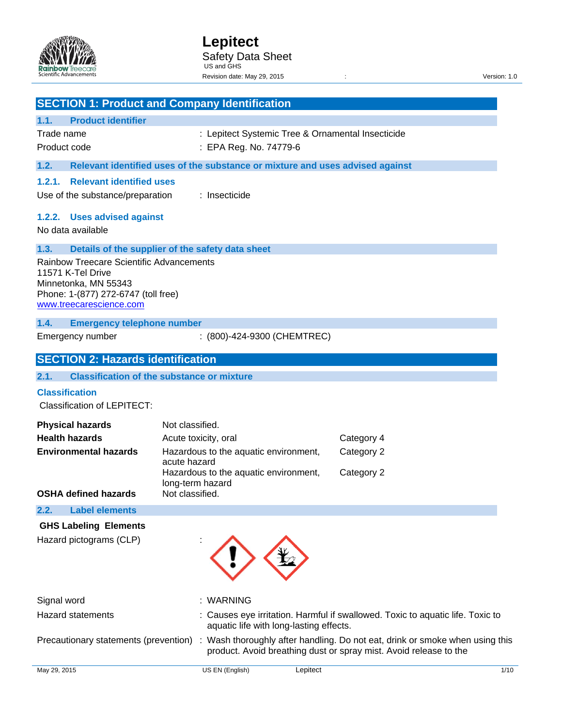

|                                                                                                                                                                | <b>SECTION 1: Product and Company Identification</b>                          |                                                                                                                                                 |
|----------------------------------------------------------------------------------------------------------------------------------------------------------------|-------------------------------------------------------------------------------|-------------------------------------------------------------------------------------------------------------------------------------------------|
| <b>Product identifier</b><br>1.1.                                                                                                                              |                                                                               |                                                                                                                                                 |
| Trade name                                                                                                                                                     | : Lepitect Systemic Tree & Ornamental Insecticide                             |                                                                                                                                                 |
| Product code                                                                                                                                                   | : EPA Reg. No. 74779-6                                                        |                                                                                                                                                 |
| 1.2.                                                                                                                                                           | Relevant identified uses of the substance or mixture and uses advised against |                                                                                                                                                 |
| <b>Relevant identified uses</b><br>1.2.1.                                                                                                                      |                                                                               |                                                                                                                                                 |
| Use of the substance/preparation                                                                                                                               | : Insecticide                                                                 |                                                                                                                                                 |
| 1.2.2. Uses advised against<br>No data available                                                                                                               |                                                                               |                                                                                                                                                 |
| 1.3.                                                                                                                                                           | Details of the supplier of the safety data sheet                              |                                                                                                                                                 |
| <b>Rainbow Treecare Scientific Advancements</b><br>11571 K-Tel Drive<br>Minnetonka, MN 55343<br>Phone: 1-(877) 272-6747 (toll free)<br>www.treecarescience.com |                                                                               |                                                                                                                                                 |
| 1.4.<br><b>Emergency telephone number</b>                                                                                                                      |                                                                               |                                                                                                                                                 |
| Emergency number                                                                                                                                               | : (800)-424-9300 (CHEMTREC)                                                   |                                                                                                                                                 |
|                                                                                                                                                                |                                                                               |                                                                                                                                                 |
| <b>SECTION 2: Hazards identification</b>                                                                                                                       |                                                                               |                                                                                                                                                 |
| 2.1.                                                                                                                                                           | <b>Classification of the substance or mixture</b>                             |                                                                                                                                                 |
| <b>Classification</b>                                                                                                                                          |                                                                               |                                                                                                                                                 |
| <b>Classification of LEPITECT:</b>                                                                                                                             |                                                                               |                                                                                                                                                 |
| <b>Physical hazards</b>                                                                                                                                        | Not classified.                                                               |                                                                                                                                                 |
| <b>Health hazards</b>                                                                                                                                          | Acute toxicity, oral                                                          | Category 4                                                                                                                                      |
| <b>Environmental hazards</b>                                                                                                                                   | Hazardous to the aquatic environment,                                         | Category 2                                                                                                                                      |
|                                                                                                                                                                | acute hazard<br>Hazardous to the aquatic environment,                         | Category 2                                                                                                                                      |
|                                                                                                                                                                | long-term hazard                                                              |                                                                                                                                                 |
| <b>OSHA defined hazards</b>                                                                                                                                    | Not classified.                                                               |                                                                                                                                                 |
| <b>Label elements</b><br>2.2.                                                                                                                                  |                                                                               |                                                                                                                                                 |
| <b>GHS Labeling Elements</b>                                                                                                                                   |                                                                               |                                                                                                                                                 |
| Hazard pictograms (CLP)                                                                                                                                        |                                                                               |                                                                                                                                                 |
| Signal word                                                                                                                                                    | : WARNING                                                                     |                                                                                                                                                 |
| <b>Hazard statements</b>                                                                                                                                       | aquatic life with long-lasting effects.                                       | Causes eye irritation. Harmful if swallowed. Toxic to aquatic life. Toxic to                                                                    |
| Precautionary statements (prevention)                                                                                                                          |                                                                               | Wash thoroughly after handling. Do not eat, drink or smoke when using this<br>product. Avoid breathing dust or spray mist. Avoid release to the |
| May 29, 2015                                                                                                                                                   | US EN (English)<br>Lepitect                                                   | 1/10                                                                                                                                            |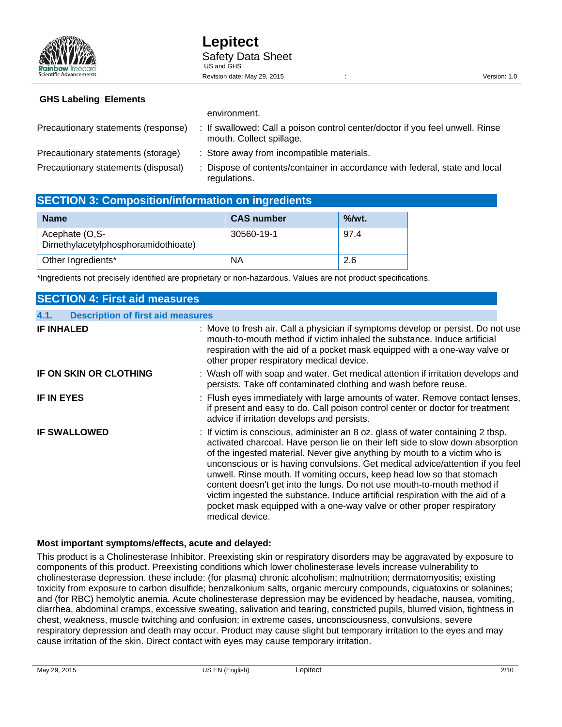|                                     | <u>UNIVILUITUUTE</u>                                                                                      |
|-------------------------------------|-----------------------------------------------------------------------------------------------------------|
| Precautionary statements (response) | : If swallowed: Call a poison control center/doctor if you feel unwell. Rinse<br>mouth. Collect spillage. |
| Precautionary statements (storage)  | : Store away from incompatible materials.                                                                 |
| Precautionary statements (disposal) | : Dispose of contents/container in accordance with federal, state and local<br>regulations.               |

# **SECTION 3: Composition/information on ingredients**

| <b>Name</b>                                           | <b>CAS number</b> | $\%$ /wt. |
|-------------------------------------------------------|-------------------|-----------|
| Acephate (O,S-<br>Dimethylacetylphosphoramidothioate) | 30560-19-1        | 97.4      |
| Other Ingredients*                                    | <b>NA</b>         | 2.6       |

\*Ingredients not precisely identified are proprietary or non-hazardous. Values are not product specifications.

| <b>SECTION 4: First aid measures</b>             |                                                                                                                                                                                                                                                                                                                                                                                                                                                                                                                                                                                                                                                                     |
|--------------------------------------------------|---------------------------------------------------------------------------------------------------------------------------------------------------------------------------------------------------------------------------------------------------------------------------------------------------------------------------------------------------------------------------------------------------------------------------------------------------------------------------------------------------------------------------------------------------------------------------------------------------------------------------------------------------------------------|
| <b>Description of first aid measures</b><br>4.1. |                                                                                                                                                                                                                                                                                                                                                                                                                                                                                                                                                                                                                                                                     |
| <b>IF INHALED</b>                                | : Move to fresh air. Call a physician if symptoms develop or persist. Do not use<br>mouth-to-mouth method if victim inhaled the substance. Induce artificial<br>respiration with the aid of a pocket mask equipped with a one-way valve or<br>other proper respiratory medical device.                                                                                                                                                                                                                                                                                                                                                                              |
| IF ON SKIN OR CLOTHING                           | : Wash off with soap and water. Get medical attention if irritation develops and<br>persists. Take off contaminated clothing and wash before reuse.                                                                                                                                                                                                                                                                                                                                                                                                                                                                                                                 |
| <b>IF IN EYES</b>                                | : Flush eyes immediately with large amounts of water. Remove contact lenses,<br>if present and easy to do. Call poison control center or doctor for treatment<br>advice if irritation develops and persists.                                                                                                                                                                                                                                                                                                                                                                                                                                                        |
| <b>IF SWALLOWED</b>                              | : If victim is conscious, administer an 8 oz. glass of water containing 2 tbsp.<br>activated charcoal. Have person lie on their left side to slow down absorption<br>of the ingested material. Never give anything by mouth to a victim who is<br>unconscious or is having convulsions. Get medical advice/attention if you feel<br>unwell. Rinse mouth. If vomiting occurs, keep head low so that stomach<br>content doesn't get into the lungs. Do not use mouth-to-mouth method if<br>victim ingested the substance. Induce artificial respiration with the aid of a<br>pocket mask equipped with a one-way valve or other proper respiratory<br>medical device. |

## **Most important symptoms/effects, acute and delayed:**

This product is a Cholinesterase Inhibitor. Preexisting skin or respiratory disorders may be aggravated by exposure to components of this product. Preexisting conditions which lower cholinesterase levels increase vulnerability to cholinesterase depression. these include: (for plasma) chronic alcoholism; malnutrition; dermatomyositis; existing toxicity from exposure to carbon disulfide; benzalkonium salts, organic mercury compounds, ciguatoxins or solanines; and (for RBC) hemolytic anemia. Acute cholinesterase depression may be evidenced by headache, nausea, vomiting, diarrhea, abdominal cramps, excessive sweating, salivation and tearing, constricted pupils, blurred vision, tightness in chest, weakness, muscle twitching and confusion; in extreme cases, unconsciousness, convulsions, severe respiratory depression and death may occur. Product may cause slight but temporary irritation to the eyes and may cause irritation of the skin. Direct contact with eyes may cause temporary irritation.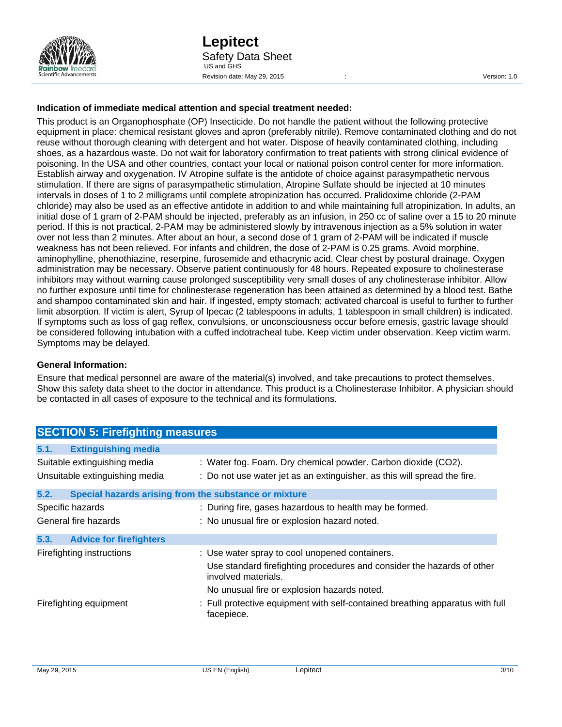

#### **Indication of immediate medical attention and special treatment needed:**

This product is an Organophosphate (OP) Insecticide. Do not handle the patient without the following protective equipment in place: chemical resistant gloves and apron (preferably nitrile). Remove contaminated clothing and do not reuse without thorough cleaning with detergent and hot water. Dispose of heavily contaminated clothing, including shoes, as a hazardous waste. Do not wait for laboratory confirmation to treat patients with strong clinical evidence of poisoning. In the USA and other countries, contact your local or national poison control center for more information. Establish airway and oxygenation. IV Atropine sulfate is the antidote of choice against parasympathetic nervous stimulation. If there are signs of parasympathetic stimulation, Atropine Sulfate should be injected at 10 minutes intervals in doses of 1 to 2 milligrams until complete atropinization has occurred. Pralidoxime chloride (2-PAM chloride) may also be used as an effective antidote in addition to and while maintaining full atropinization. In adults, an initial dose of 1 gram of 2-PAM should be injected, preferably as an infusion, in 250 cc of saline over a 15 to 20 minute period. If this is not practical, 2-PAM may be administered slowly by intravenous injection as a 5% solution in water over not less than 2 minutes. After about an hour, a second dose of 1 gram of 2-PAM will be indicated if muscle weakness has not been relieved. For infants and children, the dose of 2-PAM is 0.25 grams. Avoid morphine, aminophylline, phenothiazine, reserpine, furosemide and ethacrynic acid. Clear chest by postural drainage. Oxygen administration may be necessary. Observe patient continuously for 48 hours. Repeated exposure to cholinesterase inhibitors may without warning cause prolonged susceptibility very small doses of any cholinesterase inhibitor. Allow no further exposure until time for cholinesterase regeneration has been attained as determined by a blood test. Bathe and shampoo contaminated skin and hair. If ingested, empty stomach; activated charcoal is useful to further to further limit absorption. If victim is alert, Syrup of Ipecac (2 tablespoons in adults, 1 tablespoon in small children) is indicated. If symptoms such as loss of gag reflex, convulsions, or unconsciousness occur before emesis, gastric lavage should be considered following intubation with a cuffed indotracheal tube. Keep victim under observation. Keep victim warm. Symptoms may be delayed.

#### **General Information:**

Ensure that medical personnel are aware of the material(s) involved, and take precautions to protect themselves. Show this safety data sheet to the doctor in attendance. This product is a Cholinesterase Inhibitor. A physician should be contacted in all cases of exposure to the technical and its formulations.

| <b>SECTION 5: Firefighting measures</b> |                                                                                               |  |  |
|-----------------------------------------|-----------------------------------------------------------------------------------------------|--|--|
| <b>Extinguishing media</b><br>5.1.      |                                                                                               |  |  |
| Suitable extinguishing media            | : Water fog. Foam. Dry chemical powder. Carbon dioxide (CO2).                                 |  |  |
| Unsuitable extinguishing media          | : Do not use water jet as an extinguisher, as this will spread the fire.                      |  |  |
| 5.2.                                    | Special hazards arising from the substance or mixture                                         |  |  |
| Specific hazards                        | : During fire, gases hazardous to health may be formed.                                       |  |  |
| General fire hazards                    | : No unusual fire or explosion hazard noted.                                                  |  |  |
| <b>Advice for firefighters</b><br>5.3.  |                                                                                               |  |  |
| Firefighting instructions               | : Use water spray to cool unopened containers.                                                |  |  |
|                                         | Use standard firefighting procedures and consider the hazards of other<br>involved materials. |  |  |
|                                         | No unusual fire or explosion hazards noted.                                                   |  |  |
| Firefighting equipment                  | : Full protective equipment with self-contained breathing apparatus with full<br>facepiece.   |  |  |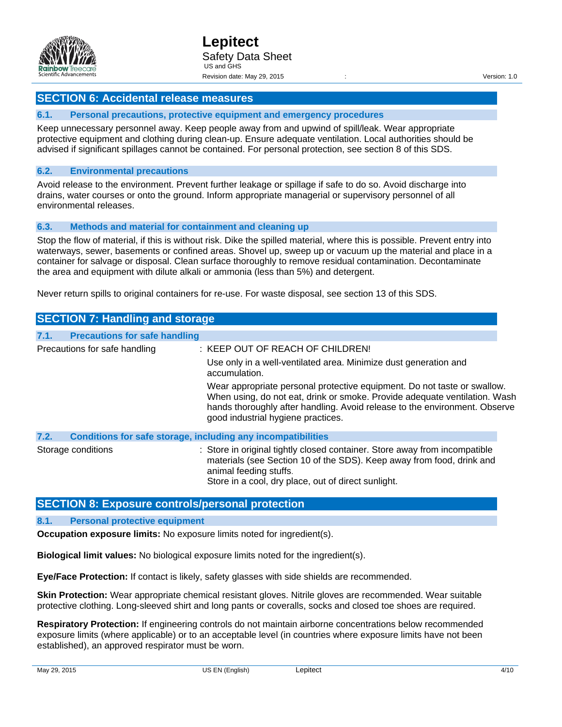

#### **6.1. Personal precautions, protective equipment and emergency procedures**

Keep unnecessary personnel away. Keep people away from and upwind of spill/leak. Wear appropriate protective equipment and clothing during clean-up. Ensure adequate ventilation. Local authorities should be advised if significant spillages cannot be contained. For personal protection, see section 8 of this SDS.

#### **6.2. Environmental precautions**

Avoid release to the environment. Prevent further leakage or spillage if safe to do so. Avoid discharge into drains, water courses or onto the ground. Inform appropriate managerial or supervisory personnel of all environmental releases.

#### **6.3. Methods and material for containment and cleaning up**

Stop the flow of material, if this is without risk. Dike the spilled material, where this is possible. Prevent entry into waterways, sewer, basements or confined areas. Shovel up, sweep up or vacuum up the material and place in a container for salvage or disposal. Clean surface thoroughly to remove residual contamination. Decontaminate the area and equipment with dilute alkali or ammonia (less than 5%) and detergent.

Never return spills to original containers for re-use. For waste disposal, see section 13 of this SDS.

|                               | <b>SECTION 7: Handling and storage</b> |                                                                                                                                                                                                                                                                                                                                                                                                     |
|-------------------------------|----------------------------------------|-----------------------------------------------------------------------------------------------------------------------------------------------------------------------------------------------------------------------------------------------------------------------------------------------------------------------------------------------------------------------------------------------------|
| 7.1.                          | <b>Precautions for safe handling</b>   |                                                                                                                                                                                                                                                                                                                                                                                                     |
| Precautions for safe handling |                                        | : KEEP OUT OF REACH OF CHILDREN!<br>Use only in a well-ventilated area. Minimize dust generation and<br>accumulation.<br>Wear appropriate personal protective equipment. Do not taste or swallow.<br>When using, do not eat, drink or smoke. Provide adequate ventilation. Wash<br>hands thoroughly after handling. Avoid release to the environment. Observe<br>good industrial hygiene practices. |
| 7.2.                          |                                        | <b>Conditions for safe storage, including any incompatibilities</b>                                                                                                                                                                                                                                                                                                                                 |
|                               | Storage conditions                     | : Store in original tightly closed container. Store away from incompatible<br>materials (see Section 10 of the SDS). Keep away from food, drink and<br>animal feeding stuffs.<br>Store in a cool, dry place, out of direct sunlight.                                                                                                                                                                |

## **SECTION 8: Exposure controls/personal protection**

#### **8.1. Personal protective equipment**

**Occupation exposure limits:** No exposure limits noted for ingredient(s).

**Biological limit values:** No biological exposure limits noted for the ingredient(s).

**Eye/Face Protection:** If contact is likely, safety glasses with side shields are recommended.

**Skin Protection:** Wear appropriate chemical resistant gloves. Nitrile gloves are recommended. Wear suitable protective clothing. Long-sleeved shirt and long pants or coveralls, socks and closed toe shoes are required.

**Respiratory Protection:** If engineering controls do not maintain airborne concentrations below recommended exposure limits (where applicable) or to an acceptable level (in countries where exposure limits have not been established), an approved respirator must be worn.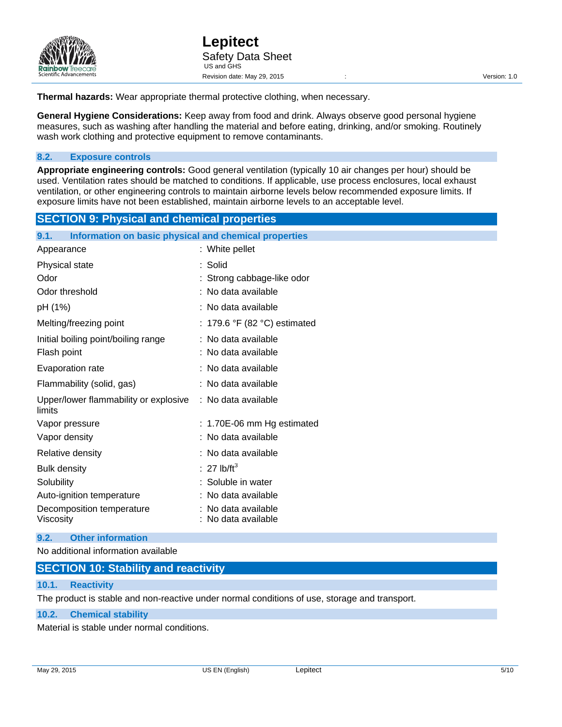

**Thermal hazards:** Wear appropriate thermal protective clothing, when necessary.

**General Hygiene Considerations:** Keep away from food and drink. Always observe good personal hygiene measures, such as washing after handling the material and before eating, drinking, and/or smoking. Routinely wash work clothing and protective equipment to remove contaminants.

#### **8.2. Exposure controls**

**Appropriate engineering controls:** Good general ventilation (typically 10 air changes per hour) should be used. Ventilation rates should be matched to conditions. If applicable, use process enclosures, local exhaust ventilation, or other engineering controls to maintain airborne levels below recommended exposure limits. If exposure limits have not been established, maintain airborne levels to an acceptable level.

# **SECTION 9: Physical and chemical properties**

| Information on basic physical and chemical properties<br>9.1. |                                        |  |  |  |
|---------------------------------------------------------------|----------------------------------------|--|--|--|
| Appearance                                                    | : White pellet                         |  |  |  |
| Physical state                                                | : Solid                                |  |  |  |
| Odor                                                          | : Strong cabbage-like odor             |  |  |  |
| Odor threshold                                                | : No data available                    |  |  |  |
| pH (1%)                                                       | : No data available                    |  |  |  |
| Melting/freezing point                                        | : 179.6 °F (82 °C) estimated           |  |  |  |
| Initial boiling point/boiling range                           | : No data available                    |  |  |  |
| Flash point                                                   | : No data available                    |  |  |  |
| Evaporation rate                                              | : No data available                    |  |  |  |
| Flammability (solid, gas)                                     | : No data available                    |  |  |  |
| Upper/lower flammability or explosive<br>limits               | : No data available                    |  |  |  |
| Vapor pressure                                                | : 1.70E-06 mm Hg estimated             |  |  |  |
| Vapor density                                                 | : No data available                    |  |  |  |
| Relative density                                              | : No data available                    |  |  |  |
| <b>Bulk density</b>                                           | : 27 lb/ft <sup>3</sup>                |  |  |  |
| Solubility                                                    | : Soluble in water                     |  |  |  |
| Auto-ignition temperature                                     | No data available                      |  |  |  |
| Decomposition temperature<br>Viscosity                        | No data available<br>No data available |  |  |  |

#### **9.2. Other information**

No additional information available

# **SECTION 10: Stability and reactivity**

# **10.1. Reactivity**

The product is stable and non-reactive under normal conditions of use, storage and transport.

#### **10.2. Chemical stability**

Material is stable under normal conditions.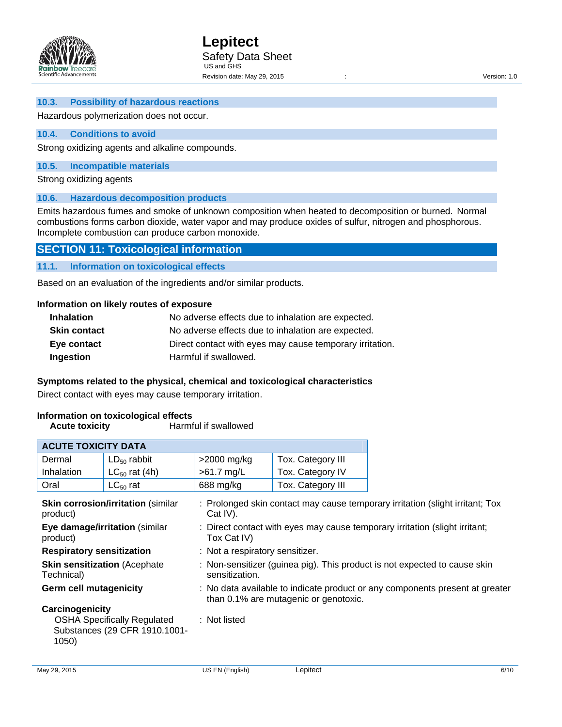

#### **10.3. Possibility of hazardous reactions**

#### Hazardous polymerization does not occur.

#### **10.4. Conditions to avoid**

Strong oxidizing agents and alkaline compounds.

#### **10.5. Incompatible materials**

Strong oxidizing agents

#### **10.6. Hazardous decomposition products**

Emits hazardous fumes and smoke of unknown composition when heated to decomposition or burned. Normal combustions forms carbon dioxide, water vapor and may produce oxides of sulfur, nitrogen and phosphorous. Incomplete combustion can produce carbon monoxide.

#### **SECTION 11: Toxicological information**

**11.1. Information on toxicological effects** 

Based on an evaluation of the ingredients and/or similar products.

# **Information on likely routes of exposure**

| <b>Inhalation</b>   | No adverse effects due to inhalation are expected.       |
|---------------------|----------------------------------------------------------|
| <b>Skin contact</b> | No adverse effects due to inhalation are expected.       |
| Eye contact         | Direct contact with eyes may cause temporary irritation. |
| Ingestion           | Harmful if swallowed.                                    |

#### **Symptoms related to the physical, chemical and toxicological characteristics**

Direct contact with eyes may cause temporary irritation.

#### **Information on toxicological effects**

| <b>ACUTE TOXICITY DATA</b>                        |                                                                     |                                                                                             |                                       |                                                                               |  |
|---------------------------------------------------|---------------------------------------------------------------------|---------------------------------------------------------------------------------------------|---------------------------------------|-------------------------------------------------------------------------------|--|
| Dermal                                            | $LD_{50}$ rabbit                                                    | $>2000$ mg/kg                                                                               | Tox. Category III                     |                                                                               |  |
| Inhalation                                        | $LC_{50}$ rat (4h)                                                  | $>61.7$ mg/L                                                                                | Tox. Category IV                      |                                                                               |  |
| Oral                                              | $LC_{50}$ rat                                                       | 688 mg/kg                                                                                   | Tox. Category III                     |                                                                               |  |
| product)                                          | <b>Skin corrosion/irritation (similar</b>                           | Cat $IV$ ).                                                                                 |                                       | : Prolonged skin contact may cause temporary irritation (slight irritant; Tox |  |
| Eye damage/irritation (similar<br>product)        |                                                                     | : Direct contact with eyes may cause temporary irritation (slight irritant;<br>Tox Cat IV)  |                                       |                                                                               |  |
| <b>Respiratory sensitization</b>                  |                                                                     | : Not a respiratory sensitizer.                                                             |                                       |                                                                               |  |
| <b>Skin sensitization (Acephate</b><br>Technical) |                                                                     | : Non-sensitizer (guinea pig). This product is not expected to cause skin<br>sensitization. |                                       |                                                                               |  |
| <b>Germ cell mutagenicity</b>                     |                                                                     |                                                                                             | than 0.1% are mutagenic or genotoxic. | : No data available to indicate product or any components present at greater  |  |
| Carcinogenicity<br>1050)                          | <b>OSHA Specifically Regulated</b><br>Substances (29 CFR 1910.1001- | : Not listed                                                                                |                                       |                                                                               |  |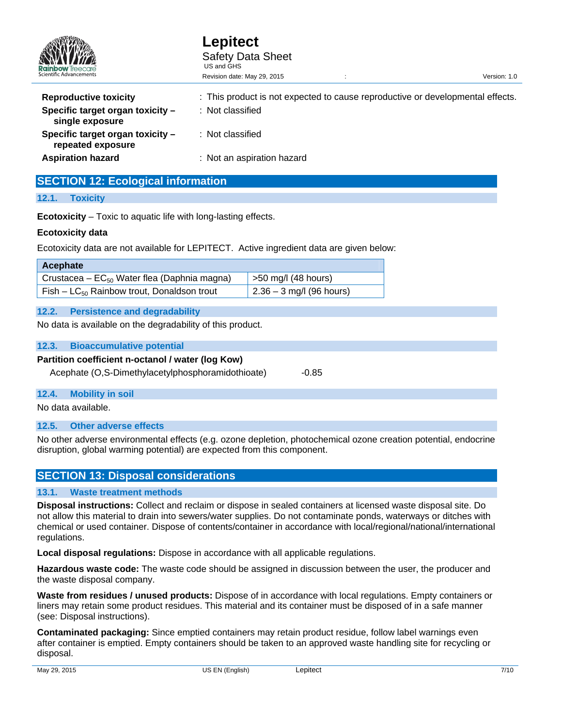| <b>Rainbow</b> Treecare                               | Lepitect<br><b>Safety Data Sheet</b><br>US and GHS                             |              |  |
|-------------------------------------------------------|--------------------------------------------------------------------------------|--------------|--|
| Scientific Advancements                               | Revision date: May 29, 2015                                                    | Version: 1.0 |  |
| <b>Reproductive toxicity</b>                          | : This product is not expected to cause reproductive or developmental effects. |              |  |
| Specific target organ toxicity -<br>single exposure   | : Not classified                                                               |              |  |
| Specific target organ toxicity -<br>repeated exposure | : Not classified                                                               |              |  |
| <b>Aspiration hazard</b>                              | : Not an aspiration hazard                                                     |              |  |

# **SECTION 12: Ecological information**

#### **12.1. Toxicity**

**Ecotoxicity** – Toxic to aquatic life with long-lasting effects.

#### **Ecotoxicity data**

Ecotoxicity data are not available for LEPITECT. Active ingredient data are given below:

| Acephate                                         |                                   |
|--------------------------------------------------|-----------------------------------|
| Crustacea – $EC_{50}$ Water flea (Daphnia magna) | $\frac{1}{2}$ >50 mg/l (48 hours) |
| $Fish - LC_{50}$ Rainbow trout, Donaldson trout  | $\vert$ 2.36 – 3 mg/l (96 hours)  |

#### **12.2. Persistence and degradability**

No data is available on the degradability of this product.

#### **12.3. Bioaccumulative potential**

# **Partition coefficient n-octanol / water (log Kow)**

Acephate (O,S-Dimethylacetylphosphoramidothioate) -0.85

#### **12.4. Mobility in soil**

No data available.

#### **12.5. Other adverse effects**

No other adverse environmental effects (e.g. ozone depletion, photochemical ozone creation potential, endocrine disruption, global warming potential) are expected from this component.

# **SECTION 13: Disposal considerations**

#### **13.1. Waste treatment methods**

**Disposal instructions:** Collect and reclaim or dispose in sealed containers at licensed waste disposal site. Do not allow this material to drain into sewers/water supplies. Do not contaminate ponds, waterways or ditches with chemical or used container. Dispose of contents/container in accordance with local/regional/national/international regulations.

**Local disposal regulations:** Dispose in accordance with all applicable regulations.

**Hazardous waste code:** The waste code should be assigned in discussion between the user, the producer and the waste disposal company.

**Waste from residues / unused products:** Dispose of in accordance with local regulations. Empty containers or liners may retain some product residues. This material and its container must be disposed of in a safe manner (see: Disposal instructions).

**Contaminated packaging:** Since emptied containers may retain product residue, follow label warnings even after container is emptied. Empty containers should be taken to an approved waste handling site for recycling or disposal.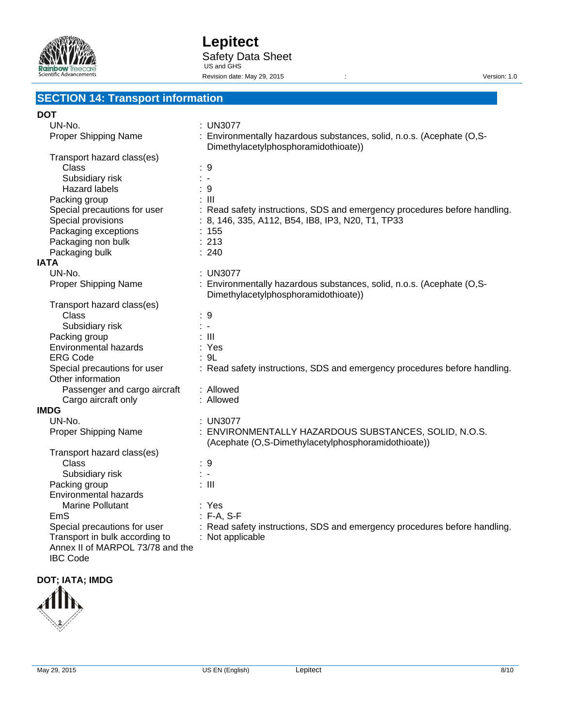

# **SECTION 14: Transport information**

#### **DOT**

| UN-No.                           | : UN3077                                                                                                      |
|----------------------------------|---------------------------------------------------------------------------------------------------------------|
| Proper Shipping Name             | : Environmentally hazardous substances, solid, n.o.s. (Acephate (O,S-<br>Dimethylacetylphosphoramidothioate)) |
| Transport hazard class(es)       |                                                                                                               |
| Class                            | : 9                                                                                                           |
| Subsidiary risk                  | $\frac{1}{2}$ . $\frac{1}{2}$                                                                                 |
| <b>Hazard labels</b>             | :9                                                                                                            |
| Packing group                    | $\therefore$ III                                                                                              |
| Special precautions for user     | : Read safety instructions, SDS and emergency procedures before handling.                                     |
| Special provisions               | : 8, 146, 335, A112, B54, IB8, IP3, N20, T1, TP33                                                             |
| Packaging exceptions             | : 155                                                                                                         |
| Packaging non bulk               | : 213                                                                                                         |
| Packaging bulk                   | : 240                                                                                                         |
| <b>IATA</b>                      |                                                                                                               |
| UN-No.                           | : UN3077                                                                                                      |
| Proper Shipping Name             | : Environmentally hazardous substances, solid, n.o.s. (Acephate (O,S-                                         |
|                                  | Dimethylacetylphosphoramidothioate))                                                                          |
| Transport hazard class(es)       |                                                                                                               |
| Class                            | : 9                                                                                                           |
| Subsidiary risk                  | $\frac{1}{2}$                                                                                                 |
| Packing group                    | $\pm$ 111                                                                                                     |
| Environmental hazards            | : Yes                                                                                                         |
| <b>ERG Code</b>                  | : 9L                                                                                                          |
| Special precautions for user     | : Read safety instructions, SDS and emergency procedures before handling.                                     |
| Other information                |                                                                                                               |
| Passenger and cargo aircraft     | : Allowed                                                                                                     |
| Cargo aircraft only              | : Allowed                                                                                                     |
| <b>IMDG</b>                      |                                                                                                               |
| UN-No.                           | : UN3077                                                                                                      |
| Proper Shipping Name             | : ENVIRONMENTALLY HAZARDOUS SUBSTANCES, SOLID, N.O.S.                                                         |
|                                  | (Acephate (O,S-Dimethylacetylphosphoramidothioate))                                                           |
| Transport hazard class(es)       |                                                                                                               |
| Class                            | :9                                                                                                            |
| Subsidiary risk                  | $\frac{1}{2}$ . $\frac{1}{2}$                                                                                 |
| Packing group                    | $\therefore$ III                                                                                              |
| <b>Environmental hazards</b>     |                                                                                                               |
| <b>Marine Pollutant</b>          | : Yes                                                                                                         |
| EmS                              | $: F-A, S-F$                                                                                                  |
| Special precautions for user     | : Read safety instructions, SDS and emergency procedures before handling.                                     |
| Transport in bulk according to   | : Not applicable                                                                                              |
| Annex II of MARPOL 73/78 and the |                                                                                                               |
| <b>IBC Code</b>                  |                                                                                                               |
|                                  |                                                                                                               |

**DOT; IATA; IMDG**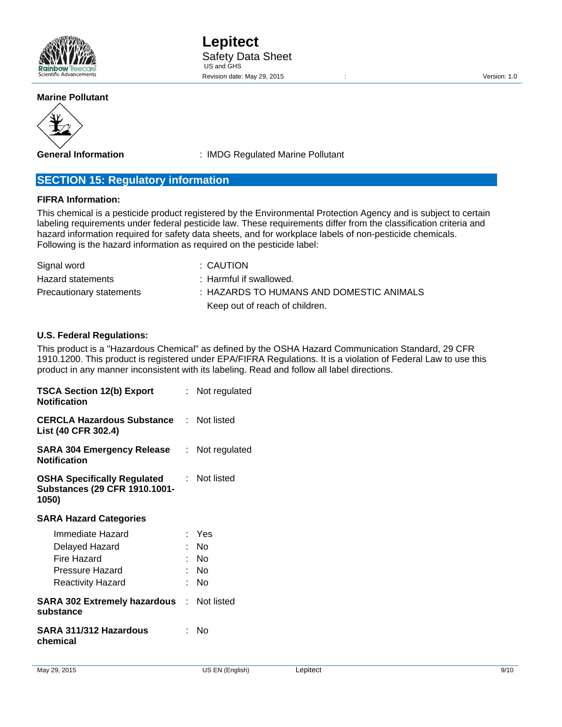

#### **Marine Pollutant**



**General Information** : IMDG Regulated Marine Pollutant

# **SECTION 15: Regulatory information**

## **FIFRA Information:**

This chemical is a pesticide product registered by the Environmental Protection Agency and is subject to certain labeling requirements under federal pesticide law. These requirements differ from the classification criteria and hazard information required for safety data sheets, and for workplace labels of non-pesticide chemicals. Following is the hazard information as required on the pesticide label:

| Signal word              | : CAUTION                                |
|--------------------------|------------------------------------------|
| Hazard statements        | $\therefore$ Harmful if swallowed.       |
| Precautionary statements | : HAZARDS TO HUMANS AND DOMESTIC ANIMALS |
|                          | Keep out of reach of children.           |

#### **U.S. Federal Regulations:**

This product is a "Hazardous Chemical" as defined by the OSHA Hazard Communication Standard, 29 CFR 1910.1200. This product is registered under EPA/FIFRA Regulations. It is a violation of Federal Law to use this product in any manner inconsistent with its labeling. Read and follow all label directions.

| <b>TSCA Section 12(b) Export</b><br><b>Notification</b>                             | : Not regulated     |
|-------------------------------------------------------------------------------------|---------------------|
| <b>CERCLA Hazardous Substance Mot listed</b><br>List (40 CFR 302.4)                 |                     |
| SARA 304 Emergency Release<br><b>Notification</b>                                   | : Not regulated     |
| <b>OSHA Specifically Regulated</b><br><b>Substances (29 CFR 1910.1001-</b><br>1050) | : Not listed        |
| <b>SARA Hazard Categories</b>                                                       |                     |
| Immediate Hazard<br>Delayed Hazard<br>Fire Hazard                                   | : Yes<br>No<br>: No |
| Pressure Hazard<br><b>Reactivity Hazard</b>                                         | : No<br>No          |
| <b>SARA 302 Extremely hazardous : Not listed</b><br>substance                       |                     |
| SARA 311/312 Hazardous<br>chemical                                                  | Nο                  |
|                                                                                     |                     |